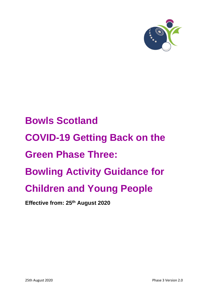

# **Bowls Scotland COVID-19 Getting Back on the Green Phase Three: Bowling Activity Guidance for Children and Young People**

**Effective from: 25th August 2020**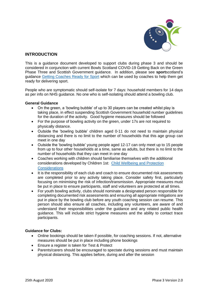

## **INTRODUCTION**

This is a guidance document developed to support clubs during phase 3 and should be considered in conjunction with current Bowls Scotland COVID-19 Getting Back on the Green Phase Three and Scottish Government guidance. In addition, please see **sport**scotland's guidance [Getting Coaches Ready for Sport](https://sportscotland.org.uk/covid-19/getting-coaches-ready-for-sport/) which can be used by coaches to help them get ready for delivering sport.

People who are symptomatic should self-isolate for 7 days: household members for 14 days as per info on NHS guidance. No one who is self-isolating should attend a bowling club.

### **General Guidance**

- On the green, a 'bowling bubble' of up to 30 players can be created whilst play is taking place, in effect suspending Scottish Government household number guidelines for the duration of the activity. Good hygiene measures should be followed
- For the purpose of bowling activity on the green, under 17s are not required to physically distance.
- Outside the 'bowling bubble' children aged 0-11 do not need to maintain physical distancing and there is no limit to the number of households that this age group can meet in one day
- Outside the 'bowling bubble' young people aged 12-17 can only meet up to 15 people from up to four other households at a time, same as adults, but there is no limit to the number of households that they can meet in one day
- Coaches working with children should familiarise themselves with the additional considerations developed by Children 1st: [Child Wellbeing and Protection](https://prodglportalv2.azureedge.net/media/6337/cyp-return-to-sport-after-covid-final.pdf)  **[Considerations](https://prodglportalv2.azureedge.net/media/6337/cyp-return-to-sport-after-covid-final.pdf)**
- It is the responsibility of each club and coach to ensure documented risk assessments are completed prior to any activity taking place. Consider safety first, particularly focusing on minimising the risk of infection/transmission. Appropriate measures must be put in place to ensure participants, staff and volunteers are protected at all times.
- For youth bowling activity, clubs should nominate a designated person responsible for completing documented risk assessments and ensuring all appropriate mitigations are put in place by the bowling club before any youth coaching session can resume. This person should also ensure all coaches, including any volunteers, are aware of and understand their responsibilities under the guidance and any related public health guidance. This will include strict hygiene measures and the ability to contact trace participants.

### **Guidance for Clubs:**

- Online bookings should be taken if possible, for coaching sessions. If not, alternative measures should be put in place including phone bookings
- Ensure a register is taken for Test & Protect
- Parents/carers should be encouraged to spectate during sessions and must maintain physical distancing. This applies before, during and after the session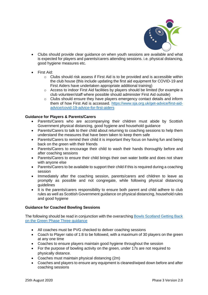

- Clubs should provide clear guidance on when youth sessions are available and what is expected for players and parents/carers attending sessions. i.e. physical distancing, good hygiene measures etc.
- First Aid:
	- $\circ$  Clubs should risk assess if First Aid is to be provided and is accessible within the club house (this include updating the first aid equipment for COVID-19 and First Aiders have undertaken appropriate additional training)
	- o Access to indoor First Aid facilities by players should be limited (for example a club volunteer/staff where possible should administer First Aid outside)
	- o Clubs should ensure they have players emergency contact details and inform them of how First Aid is accessed. [https://www.sja.org.uk/get-advice/first-aid](https://www.sja.org.uk/get-advice/first-aid-advice/covid-19-advice-for-first-aiders)[advice/covid-19-advice-for-first-aiders](https://www.sja.org.uk/get-advice/first-aid-advice/covid-19-advice-for-first-aiders)

### **Guidance for Players & Parents/Carers**

- Parents/Carers who are accompanying their children must abide by Scottish Government physical distancing, good hygiene and household guidance
- Parents/Carers to talk to their child about returning to coaching sessions to help them understand the measures that have been taken to keep them safe
- Parents/Carers to remind their child it is important they focus on having fun and being back on the green with their friends
- Parents/Carers to encourage their child to wash their hands thoroughly before and after coaching sessions
- Parents/Carers to ensure their child brings their own water bottle and does not share with anyone else
- Parents/Carers to be available to support their child if this is required during a coaching session
- Immediately after the coaching session, parents/carers and children to leave as promptly as possible and not congregate, while following physical distancing guidelines
- It is the parents/carers responsibility to ensure both parent and child adhere to club rules as well as Scottish Government guidance on physical distancing, household rules and good hygiene

### **Guidance for Coached Bowling Sessions**

The following should be read in conjunction with the overarching Bowls Scotland Getting Back [on the Green Phase Three guidance](https://www.bowlsscotland.com/clubs/club-support-covid-19)

- All coaches must be PVG checked to deliver coaching sessions
- Coach to Player ratio of 1:8 to be followed, with a maximum of 30 players on the green at any one time
- Coaches to ensure players maintain good hygiene throughout the session
- For the purpose of bowling activity on the green, under 17s are not required to physically distance.
- Coaches must maintain physical distancing (2m)
- Coaches and players to ensure any equipment is cleaned/wiped down before and after coaching sessions